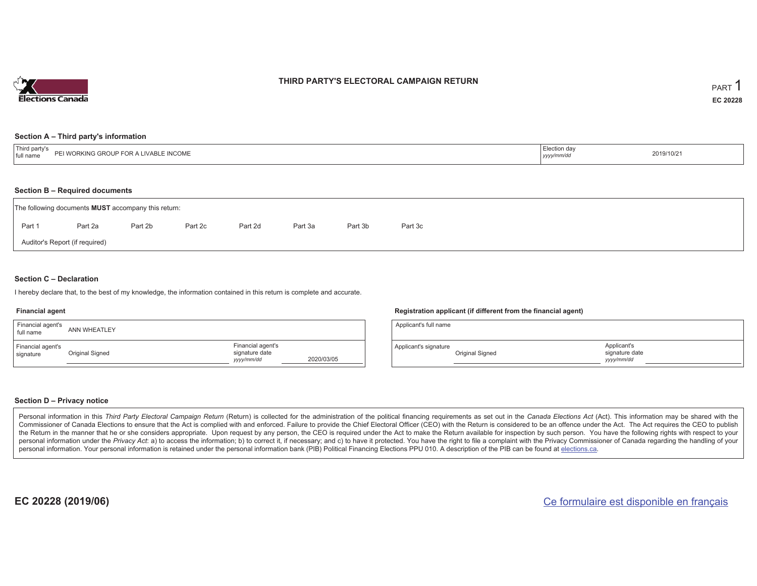

#### **THIRD PARTY'S ELECTORAL CAMPAIGN RETURN**

#### **Section A – Third party's information**

| <sup>1</sup> Thir<br><b>JCOME</b><br>$\cdots$<br>full nam<br>1.7011<br><b>VVL</b><br>$\cdots$ in the $\cdots$ | Election day<br>.<br>  <i>yyyy</i> | 2019/10/21 |
|---------------------------------------------------------------------------------------------------------------|------------------------------------|------------|
|---------------------------------------------------------------------------------------------------------------|------------------------------------|------------|

#### **Section B – Required documents**

| The following documents <b>MUST</b> accompany this return: |         |         |         |         |         |         |         |  |  |  |
|------------------------------------------------------------|---------|---------|---------|---------|---------|---------|---------|--|--|--|
| Part 1                                                     | Part 2a | Part 2b | Part 2c | Part 2d | Part 3a | Part 3b | Part 3c |  |  |  |
| Auditor's Report (if required)                             |         |         |         |         |         |         |         |  |  |  |

#### **Section C – Declaration**

I hereby declare that, to the best of my knowledge, the information contained in this return is complete and accurate.

#### **Financial agent**

| Financial agent's<br>full name | ANN WHEATLEY    |                                                   |            |
|--------------------------------|-----------------|---------------------------------------------------|------------|
| Financial agent's<br>signature | Original Signed | Financial agent's<br>signature date<br>yyyy/mm/dd | 2020/03/05 |

#### **Registration applicant (if different from the financial agent)**

| Applicant's full name |                 |                                            |  |
|-----------------------|-----------------|--------------------------------------------|--|
| Applicant's signature | Original Signed | Applicant's<br>signature date<br>vyy/mm/dd |  |

#### **Section D – Privacy notice**

Personal information in this Third Party Electoral Campaign Return (Return) is collected for the administration of the political financing requirements as set out in the Canada Elections Act (Act). This information may be Commissioner of Canada Elections to ensure that the Act is complied with and enforced. Failure to provide the Chief Electoral Officer (CEO) with the Return is considered to be an offence under the Act. The Act requires the the Return in the manner that he or she considers appropriate. Upon request by any person, the CEO is required under the Act to make the Return available for inspection by such person. You have the following rights with re personal information under the Privacy Act: a) to access the information; b) to correct it, if necessary; and c) to have it protected. You have the right to file a complaint with the Privacy Commissioner of Canada regardin personal information. Your personal information is retained under the personal information bank (PIB) Political Financing Elections PPU 010. A description of the PIB can be found at elections.ca.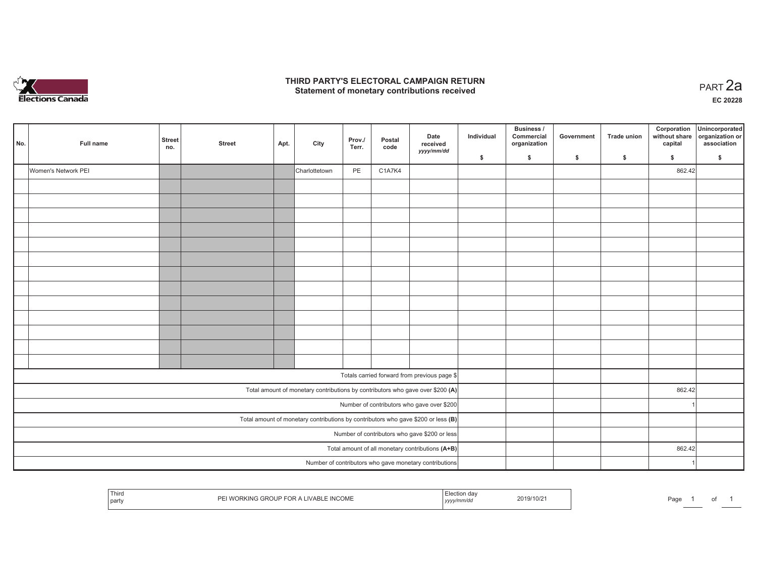

#### **THIRD PARTY'S ELECTORAL CAMPAIGN RETURN HIRD PARTY'S ELECTORAL CAMPAIGN RETURN<br>Statement of monetary contributions received PART 2a**

**EC 20228**

| No. | Full name           | Street<br>no.                                    | <b>Street</b> | Apt. | City          | Prov./<br>Terr. | Postal<br>code | Date<br>received<br>yyyy/mm/dd                                                      | Individual | Business /<br>Commercial<br>organization | Government | Trade union | Corporation<br>without share<br>capital | Unincorporated<br>organization or<br>association |
|-----|---------------------|--------------------------------------------------|---------------|------|---------------|-----------------|----------------|-------------------------------------------------------------------------------------|------------|------------------------------------------|------------|-------------|-----------------------------------------|--------------------------------------------------|
|     |                     |                                                  |               |      |               |                 |                |                                                                                     | \$         | $\mathsf{s}$                             | \$         | \$          | \$                                      | \$                                               |
|     | Women's Network PEI |                                                  |               |      | Charlottetown | PE              | C1A7K4         |                                                                                     |            |                                          |            |             | 862.42                                  |                                                  |
|     |                     |                                                  |               |      |               |                 |                |                                                                                     |            |                                          |            |             |                                         |                                                  |
|     |                     |                                                  |               |      |               |                 |                |                                                                                     |            |                                          |            |             |                                         |                                                  |
|     |                     |                                                  |               |      |               |                 |                |                                                                                     |            |                                          |            |             |                                         |                                                  |
|     |                     |                                                  |               |      |               |                 |                |                                                                                     |            |                                          |            |             |                                         |                                                  |
|     |                     |                                                  |               |      |               |                 |                |                                                                                     |            |                                          |            |             |                                         |                                                  |
|     |                     |                                                  |               |      |               |                 |                |                                                                                     |            |                                          |            |             |                                         |                                                  |
|     |                     |                                                  |               |      |               |                 |                |                                                                                     |            |                                          |            |             |                                         |                                                  |
|     |                     |                                                  |               |      |               |                 |                |                                                                                     |            |                                          |            |             |                                         |                                                  |
|     |                     |                                                  |               |      |               |                 |                |                                                                                     |            |                                          |            |             |                                         |                                                  |
|     |                     |                                                  |               |      |               |                 |                |                                                                                     |            |                                          |            |             |                                         |                                                  |
|     |                     |                                                  |               |      |               |                 |                |                                                                                     |            |                                          |            |             |                                         |                                                  |
|     |                     |                                                  |               |      |               |                 |                |                                                                                     |            |                                          |            |             |                                         |                                                  |
|     |                     |                                                  |               |      |               |                 |                |                                                                                     |            |                                          |            |             |                                         |                                                  |
|     |                     |                                                  |               |      |               |                 |                | Totals carried forward from previous page \$                                        |            |                                          |            |             |                                         |                                                  |
|     |                     |                                                  |               |      |               |                 |                | Total amount of monetary contributions by contributors who gave over \$200 (A)      |            |                                          |            |             | 862.42                                  |                                                  |
|     |                     |                                                  |               |      |               |                 |                | Number of contributors who gave over \$200                                          |            |                                          |            |             | 1                                       |                                                  |
|     |                     |                                                  |               |      |               |                 |                | Total amount of monetary contributions by contributors who gave \$200 or less $(B)$ |            |                                          |            |             |                                         |                                                  |
|     |                     |                                                  |               |      |               |                 |                | Number of contributors who gave \$200 or less                                       |            |                                          |            |             |                                         |                                                  |
|     |                     | Total amount of all monetary contributions (A+B) |               |      |               | 862.42          |                |                                                                                     |            |                                          |            |             |                                         |                                                  |
|     |                     |                                                  |               |      |               |                 |                | Number of contributors who gave monetary contributions                              |            |                                          |            |             |                                         |                                                  |

|  | ' Thira<br><b>INCOME</b><br>IVARI<br>.<br>  party | -cia<br>2019/10/2<br>.<br>,,,, | – −<br>Page<br>$\cdot$ |
|--|---------------------------------------------------|--------------------------------|------------------------|
|--|---------------------------------------------------|--------------------------------|------------------------|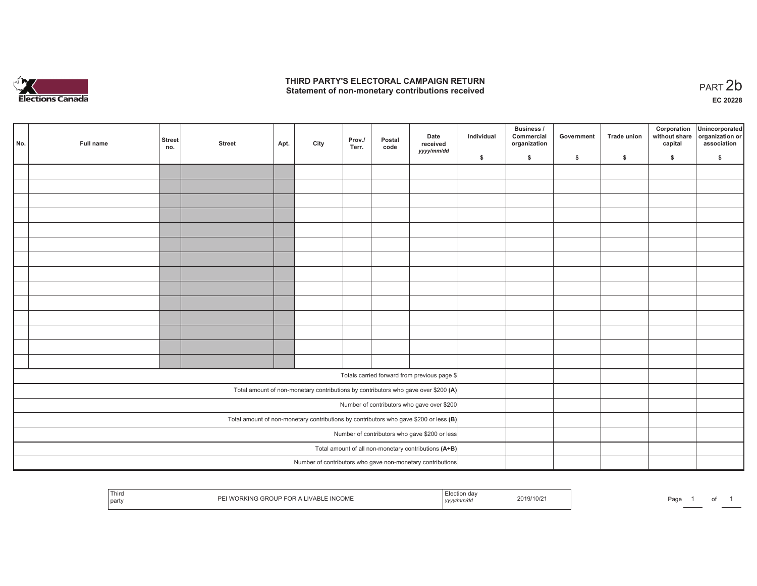

## **THIRD PARTY'S ELECTORAL CAMPAIGN RETURN**  THIRD PARTY'S ELECTORAL CAMPAIGN RETURN<br>Statement of non-monetary contributions received<br> **PART 2b**

|                                                      | No. | Full name | <b>Street</b><br>no. | <b>Street</b> | Apt. | City | Prov./<br>Terr. | Postal<br>code | Date<br>received<br>yyyy/mm/dd                                                          | Individual | <b>Business /</b><br>Commercial<br>organization | Government | Trade union | Corporation<br>capital | Unincorporated<br>without share organization or<br>association |
|------------------------------------------------------|-----|-----------|----------------------|---------------|------|------|-----------------|----------------|-----------------------------------------------------------------------------------------|------------|-------------------------------------------------|------------|-------------|------------------------|----------------------------------------------------------------|
|                                                      |     |           |                      |               |      |      |                 |                |                                                                                         | \$         | \$                                              | \$         | \$          | \$                     | \$                                                             |
|                                                      |     |           |                      |               |      |      |                 |                |                                                                                         |            |                                                 |            |             |                        |                                                                |
|                                                      |     |           |                      |               |      |      |                 |                |                                                                                         |            |                                                 |            |             |                        |                                                                |
|                                                      |     |           |                      |               |      |      |                 |                |                                                                                         |            |                                                 |            |             |                        |                                                                |
|                                                      |     |           |                      |               |      |      |                 |                |                                                                                         |            |                                                 |            |             |                        |                                                                |
|                                                      |     |           |                      |               |      |      |                 |                |                                                                                         |            |                                                 |            |             |                        |                                                                |
|                                                      |     |           |                      |               |      |      |                 |                |                                                                                         |            |                                                 |            |             |                        |                                                                |
|                                                      |     |           |                      |               |      |      |                 |                |                                                                                         |            |                                                 |            |             |                        |                                                                |
|                                                      |     |           |                      |               |      |      |                 |                |                                                                                         |            |                                                 |            |             |                        |                                                                |
|                                                      |     |           |                      |               |      |      |                 |                |                                                                                         |            |                                                 |            |             |                        |                                                                |
|                                                      |     |           |                      |               |      |      |                 |                |                                                                                         |            |                                                 |            |             |                        |                                                                |
|                                                      |     |           |                      |               |      |      |                 |                |                                                                                         |            |                                                 |            |             |                        |                                                                |
|                                                      |     |           |                      |               |      |      |                 |                |                                                                                         |            |                                                 |            |             |                        |                                                                |
|                                                      |     |           |                      |               |      |      |                 |                |                                                                                         |            |                                                 |            |             |                        |                                                                |
|                                                      |     |           |                      |               |      |      |                 |                |                                                                                         |            |                                                 |            |             |                        |                                                                |
|                                                      |     |           |                      |               |      |      |                 |                | Totals carried forward from previous page \$                                            |            |                                                 |            |             |                        |                                                                |
|                                                      |     |           |                      |               |      |      |                 |                |                                                                                         |            |                                                 |            |             |                        |                                                                |
|                                                      |     |           |                      |               |      |      |                 |                | Total amount of non-monetary contributions by contributors who gave over \$200 (A)      |            |                                                 |            |             |                        |                                                                |
|                                                      |     |           |                      |               |      |      |                 |                | Number of contributors who gave over \$200                                              |            |                                                 |            |             |                        |                                                                |
|                                                      |     |           |                      |               |      |      |                 |                | Total amount of non-monetary contributions by contributors who gave \$200 or less $(B)$ |            |                                                 |            |             |                        |                                                                |
| Number of contributors who gave \$200 or less        |     |           |                      |               |      |      |                 |                |                                                                                         |            |                                                 |            |             |                        |                                                                |
| Total amount of all non-monetary contributions (A+B) |     |           |                      |               |      |      |                 |                |                                                                                         |            |                                                 |            |             |                        |                                                                |
|                                                      |     |           |                      |               |      |      |                 |                | Number of contributors who gave non-monetary contributions                              |            |                                                 |            |             |                        |                                                                |

| Third<br>I WORKING GROUP FOR A LIVABLE INCOME<br>' party | :lection<br>da\<br>  yyyy/mm/dd | 2019/10/21 | Page |  |  |
|----------------------------------------------------------|---------------------------------|------------|------|--|--|
|----------------------------------------------------------|---------------------------------|------------|------|--|--|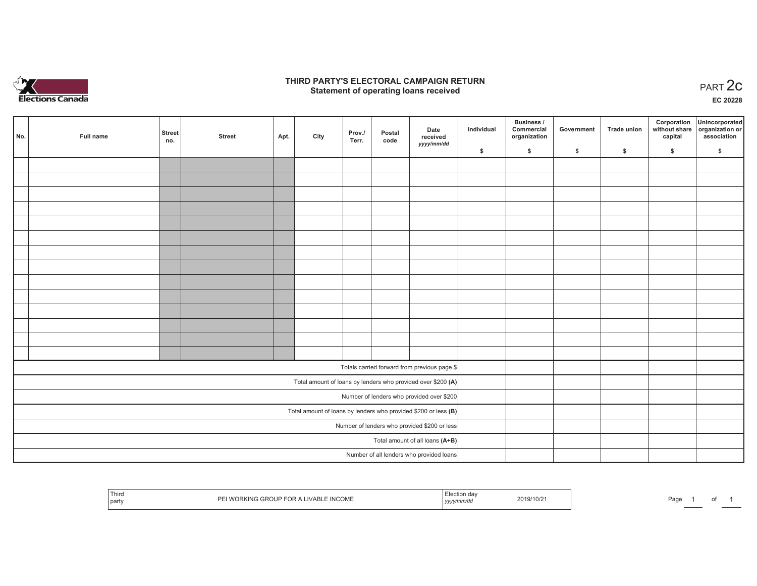

## **THIRD PARTY'S ELECTORAL CAMPAIGN RETURN STATE:** PERSON SELECTORAL CAMPAIGN RETURN<br>
Statement of operating loans received

**EC 20228**

| No. | Full name | <b>Street</b><br>no. | <b>Street</b> | Apt. | City | Prov./<br>Terr. | Postal<br>code | Date<br>received<br>yyyy/mm/dd                                  | Individual | Business /<br>Commercial<br>organization | Government | Trade union | Corporation<br>capital | Unincorporated<br>without share organization or<br>association |
|-----|-----------|----------------------|---------------|------|------|-----------------|----------------|-----------------------------------------------------------------|------------|------------------------------------------|------------|-------------|------------------------|----------------------------------------------------------------|
|     |           |                      |               |      |      |                 |                |                                                                 | \$         | $\frac{1}{2}$                            | \$         | \$          | \$                     | \$                                                             |
|     |           |                      |               |      |      |                 |                |                                                                 |            |                                          |            |             |                        |                                                                |
|     |           |                      |               |      |      |                 |                |                                                                 |            |                                          |            |             |                        |                                                                |
|     |           |                      |               |      |      |                 |                |                                                                 |            |                                          |            |             |                        |                                                                |
|     |           |                      |               |      |      |                 |                |                                                                 |            |                                          |            |             |                        |                                                                |
|     |           |                      |               |      |      |                 |                |                                                                 |            |                                          |            |             |                        |                                                                |
|     |           |                      |               |      |      |                 |                |                                                                 |            |                                          |            |             |                        |                                                                |
|     |           |                      |               |      |      |                 |                |                                                                 |            |                                          |            |             |                        |                                                                |
|     |           |                      |               |      |      |                 |                |                                                                 |            |                                          |            |             |                        |                                                                |
|     |           |                      |               |      |      |                 |                |                                                                 |            |                                          |            |             |                        |                                                                |
|     |           |                      |               |      |      |                 |                |                                                                 |            |                                          |            |             |                        |                                                                |
|     |           |                      |               |      |      |                 |                |                                                                 |            |                                          |            |             |                        |                                                                |
|     |           |                      |               |      |      |                 |                |                                                                 |            |                                          |            |             |                        |                                                                |
|     |           |                      |               |      |      |                 |                |                                                                 |            |                                          |            |             |                        |                                                                |
|     |           |                      |               |      |      |                 |                |                                                                 |            |                                          |            |             |                        |                                                                |
|     |           |                      |               |      |      |                 |                | Totals carried forward from previous page \$                    |            |                                          |            |             |                        |                                                                |
|     |           |                      |               |      |      |                 |                | Total amount of loans by lenders who provided over \$200 (A)    |            |                                          |            |             |                        |                                                                |
|     |           |                      |               |      |      |                 |                | Number of lenders who provided over \$200                       |            |                                          |            |             |                        |                                                                |
|     |           |                      |               |      |      |                 |                | Total amount of loans by lenders who provided \$200 or less (B) |            |                                          |            |             |                        |                                                                |
|     |           |                      |               |      |      |                 |                | Number of lenders who provided \$200 or less                    |            |                                          |            |             |                        |                                                                |
|     |           |                      |               |      |      |                 |                | Total amount of all loans (A+B)                                 |            |                                          |            |             |                        |                                                                |
|     |           |                      |               |      |      |                 |                | Number of all lenders who provided loans                        |            |                                          |            |             |                        |                                                                |

| Third<br>party | <b>INCOME</b><br>11 / A D<br>- | ,,,,, | :019/10/2 | Page |  |  |  |
|----------------|--------------------------------|-------|-----------|------|--|--|--|
|----------------|--------------------------------|-------|-----------|------|--|--|--|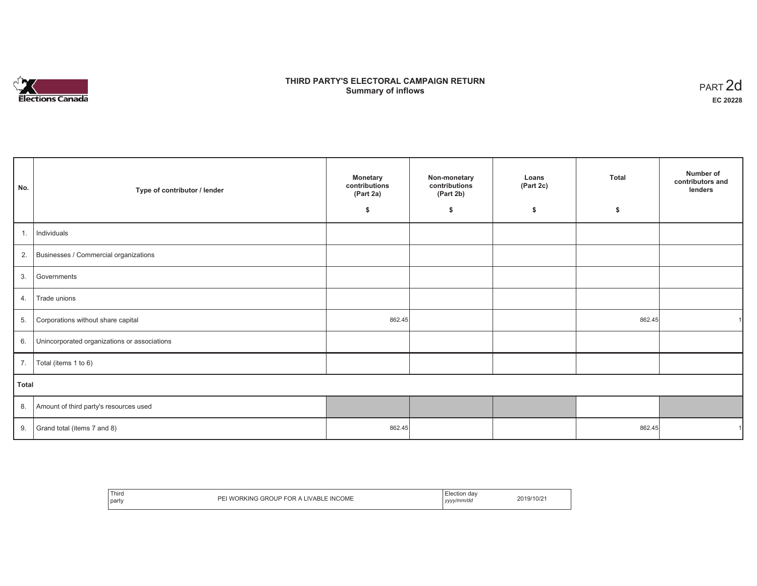# **Elections Canada**

## **THIRD PARTY'S ELECTORAL CAMPAIGN RETURN Summary of inflows**

| PART 2d  |
|----------|
| EC 20228 |

| No.<br>Type of contributor / lender |                                              | <b>Monetary</b><br>contributions<br>(Part 2a) | Non-monetary<br>contributions<br>(Part 2b) | Loans<br>(Part 2c) | <b>Total</b> | Number of<br>contributors and<br>lenders |
|-------------------------------------|----------------------------------------------|-----------------------------------------------|--------------------------------------------|--------------------|--------------|------------------------------------------|
|                                     |                                              | \$                                            | \$                                         | \$                 | \$           |                                          |
| 1.                                  | Individuals                                  |                                               |                                            |                    |              |                                          |
| 2.                                  | Businesses / Commercial organizations        |                                               |                                            |                    |              |                                          |
| 3.                                  | Governments                                  |                                               |                                            |                    |              |                                          |
| 4.                                  | Trade unions                                 |                                               |                                            |                    |              |                                          |
| 5.                                  | Corporations without share capital           | 862.45                                        |                                            |                    | 862.45       |                                          |
| 6.                                  | Unincorporated organizations or associations |                                               |                                            |                    |              |                                          |
| 7.                                  | Total (items 1 to 6)                         |                                               |                                            |                    |              |                                          |
| Total                               |                                              |                                               |                                            |                    |              |                                          |
| 8.                                  | Amount of third party's resources used       |                                               |                                            |                    |              |                                          |
| 9.                                  | Grand total (items 7 and 8)                  | 862.45                                        |                                            |                    | 862.45       |                                          |

| Third<br>_____<br>:OME<br>ור<br>INC<br>. ⊔⊔<br><b>AIN</b><br>party | 19/10/z<br>v/mm/da<br>$1/\sqrt{1}$<br>,,,, |
|--------------------------------------------------------------------|--------------------------------------------|
|--------------------------------------------------------------------|--------------------------------------------|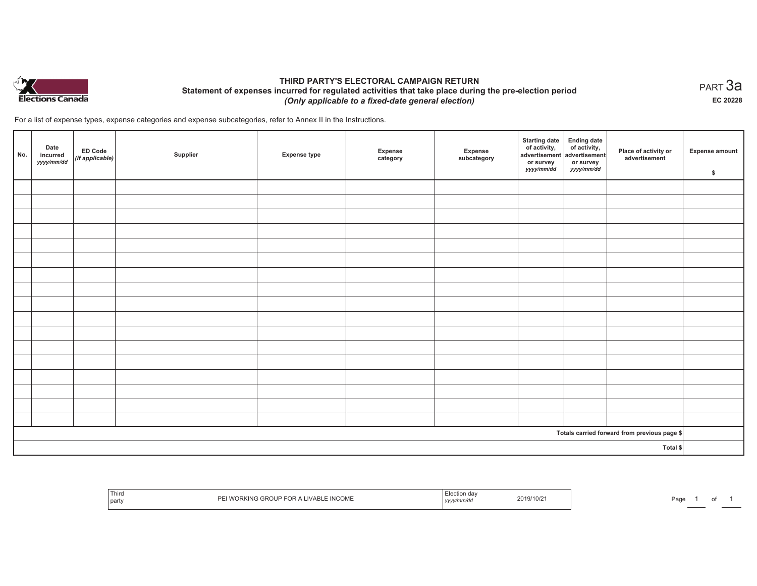

## **THIRD PARTY'S ELECTORAL CAMPAIGN RETURN Statement of expenses incurred for regulated activities that take place during the pre-election period**  *(Only applicable to a fixed-date general election)*

For a list of expense types, expense categories and expense subcategories, refer to Annex II in the Instructions.

| No. | Date<br>incurred<br>yyyy/mm/dd | ED Code<br>(if applicable) | Supplier | <b>Expense type</b> | Expense<br>category | Expense<br>subcategory | <b>Starting date</b><br>of activity,<br>advertisement<br>or survey<br>yyyy/mm/dd | Ending date<br>of activity,<br>advertisement<br>or survey<br>yyyy/mm/dd | Place of activity or<br>advertisement        | Expense amount<br>\$ |
|-----|--------------------------------|----------------------------|----------|---------------------|---------------------|------------------------|----------------------------------------------------------------------------------|-------------------------------------------------------------------------|----------------------------------------------|----------------------|
|     |                                |                            |          |                     |                     |                        |                                                                                  |                                                                         |                                              |                      |
|     |                                |                            |          |                     |                     |                        |                                                                                  |                                                                         |                                              |                      |
|     |                                |                            |          |                     |                     |                        |                                                                                  |                                                                         |                                              |                      |
|     |                                |                            |          |                     |                     |                        |                                                                                  |                                                                         |                                              |                      |
|     |                                |                            |          |                     |                     |                        |                                                                                  |                                                                         |                                              |                      |
|     |                                |                            |          |                     |                     |                        |                                                                                  |                                                                         |                                              |                      |
|     |                                |                            |          |                     |                     |                        |                                                                                  |                                                                         |                                              |                      |
|     |                                |                            |          |                     |                     |                        |                                                                                  |                                                                         |                                              |                      |
|     |                                |                            |          |                     |                     |                        |                                                                                  |                                                                         |                                              |                      |
|     |                                |                            |          |                     |                     |                        |                                                                                  |                                                                         |                                              |                      |
|     |                                |                            |          |                     |                     |                        |                                                                                  |                                                                         |                                              |                      |
|     |                                |                            |          |                     |                     |                        |                                                                                  |                                                                         |                                              |                      |
|     |                                |                            |          |                     |                     |                        |                                                                                  |                                                                         |                                              |                      |
|     |                                |                            |          |                     |                     |                        |                                                                                  |                                                                         |                                              |                      |
|     |                                |                            |          |                     |                     |                        |                                                                                  |                                                                         |                                              |                      |
|     |                                |                            |          |                     |                     |                        |                                                                                  |                                                                         |                                              |                      |
|     |                                |                            |          |                     |                     |                        |                                                                                  |                                                                         |                                              |                      |
|     |                                |                            |          |                     |                     |                        |                                                                                  |                                                                         | Totals carried forward from previous page \$ |                      |
|     | Total \$                       |                            |          |                     |                     |                        |                                                                                  |                                                                         |                                              |                      |

|  |  | Third<br><sub>i</sub> parl | COME | ,,,, | 019/10/2 | ാഹ<br>-au |  |  |  |
|--|--|----------------------------|------|------|----------|-----------|--|--|--|
|--|--|----------------------------|------|------|----------|-----------|--|--|--|

 $_{\sf PART}$ 3a **EC 20228**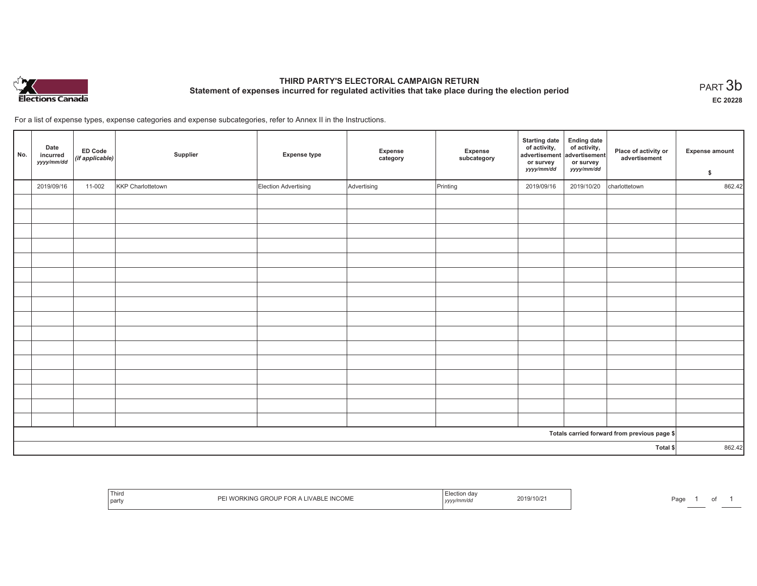

# **THIRD PARTY'S ELECTORAL CAMPAIGN RETURN Statement of expenses incurred for regulated activities that take place during the election period**<br>PART  $3\mathsf{b}$

**EC 20228**

For a list of expense types, expense categories and expense subcategories, refer to Annex II in the Instructions.

| No. | Date<br>incurred<br>yyyy/mm/dd | ED Code<br>(if applicable) | Supplier          | <b>Expense type</b>  | Expense<br>category | Expense<br>subcategory | <b>Starting date</b><br>of activity,<br>advertisement<br>or survey<br>yyyy/mm/dd | Ending date<br>of activity,<br>advertisement<br>or survey<br>yyyy/mm/dd | Place of activity or<br>advertisement        | <b>Expense amount</b><br>\$ |
|-----|--------------------------------|----------------------------|-------------------|----------------------|---------------------|------------------------|----------------------------------------------------------------------------------|-------------------------------------------------------------------------|----------------------------------------------|-----------------------------|
|     | 2019/09/16                     | 11-002                     | KKP Charlottetown | Election Advertising | Advertising         | Printing               | 2019/09/16                                                                       | 2019/10/20                                                              | charlottetown                                | 862.42                      |
|     |                                |                            |                   |                      |                     |                        |                                                                                  |                                                                         |                                              |                             |
|     |                                |                            |                   |                      |                     |                        |                                                                                  |                                                                         |                                              |                             |
|     |                                |                            |                   |                      |                     |                        |                                                                                  |                                                                         |                                              |                             |
|     |                                |                            |                   |                      |                     |                        |                                                                                  |                                                                         |                                              |                             |
|     |                                |                            |                   |                      |                     |                        |                                                                                  |                                                                         |                                              |                             |
|     |                                |                            |                   |                      |                     |                        |                                                                                  |                                                                         |                                              |                             |
|     |                                |                            |                   |                      |                     |                        |                                                                                  |                                                                         |                                              |                             |
|     |                                |                            |                   |                      |                     |                        |                                                                                  |                                                                         |                                              |                             |
|     |                                |                            |                   |                      |                     |                        |                                                                                  |                                                                         |                                              |                             |
|     |                                |                            |                   |                      |                     |                        |                                                                                  |                                                                         |                                              |                             |
|     |                                |                            |                   |                      |                     |                        |                                                                                  |                                                                         |                                              |                             |
|     |                                |                            |                   |                      |                     |                        |                                                                                  |                                                                         |                                              |                             |
|     |                                |                            |                   |                      |                     |                        |                                                                                  |                                                                         |                                              |                             |
|     |                                |                            |                   |                      |                     |                        |                                                                                  |                                                                         |                                              |                             |
|     |                                |                            |                   |                      |                     |                        |                                                                                  |                                                                         |                                              |                             |
|     |                                |                            |                   |                      |                     |                        |                                                                                  |                                                                         |                                              |                             |
|     |                                |                            |                   |                      |                     |                        |                                                                                  |                                                                         | Totals carried forward from previous page \$ |                             |
|     |                                |                            |                   |                      |                     |                        |                                                                                  |                                                                         | Total \$                                     | 862.42                      |

| l hird<br>j party | ™ INCOME<br>'VARI<br>וצוו אאי<br>$-1133.$ | ,,,, | 9/10/2 | ∍⊶⊓<br>-aut |  |  |
|-------------------|-------------------------------------------|------|--------|-------------|--|--|
|-------------------|-------------------------------------------|------|--------|-------------|--|--|